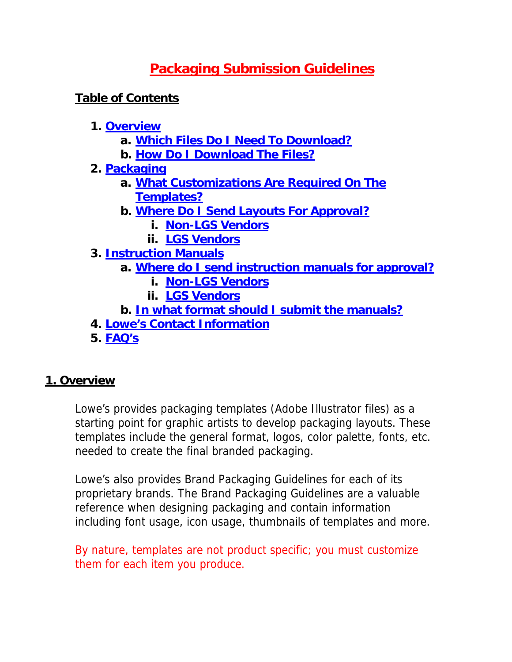# **Packaging Submission Guidelines**

### **Table of Contents**

- **1. Overview**
	- **a. Which Files Do I Need To Download?**
	- **b. How Do I Download The Files?**
- **2. Packaging**
	- **a. What Customizations Are Required On The Templates?**
	- **b. Where Do I Send Layouts For Approval?**
		- **i. Non-LGS Vendors**
		- **ii. LGS Vendors**
- **3. Instruction Manuals**
	- **a. Where do I send instruction manuals for approval?**
		- **i. Non-LGS Vendors**
		- **ii. LGS Vendors**
	- **b. In what format should I submit the manuals?**
- **4. Lowe's Contact Information**
- **5. FAQ's**

#### **1. Overview**

Lowe's provides packaging templates (Adobe Illustrator files) as a starting point for graphic artists to develop packaging layouts. These templates include the general format, logos, color palette, fonts, etc. needed to create the final branded packaging.

Lowe's also provides Brand Packaging Guidelines for each of its proprietary brands. The Brand Packaging Guidelines are a valuable reference when designing packaging and contain information including font usage, icon usage, thumbnails of templates and more.

By nature, templates are not product specific; you must customize them for each item you produce.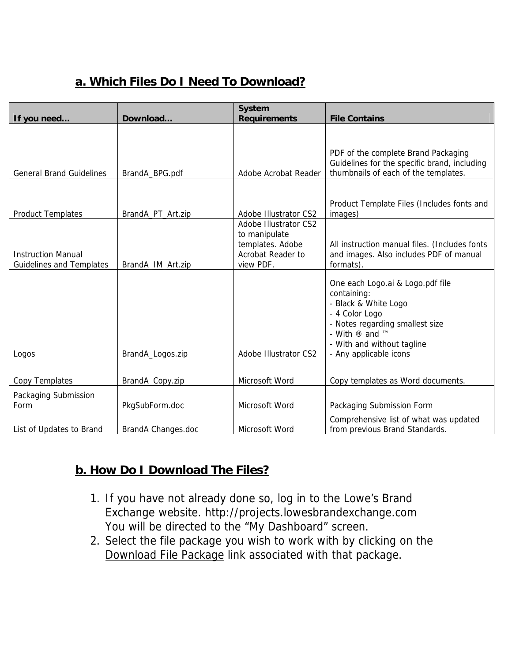## **a. Which Files Do I Need To Download?**

| If you need                                                  | Download           | <b>System</b><br><b>Requirements</b>                                                                | <b>File Contains</b>                                                                                                                                                                                   |
|--------------------------------------------------------------|--------------------|-----------------------------------------------------------------------------------------------------|--------------------------------------------------------------------------------------------------------------------------------------------------------------------------------------------------------|
| <b>General Brand Guidelines</b>                              | BrandA_BPG.pdf     | Adobe Acrobat Reader                                                                                | PDF of the complete Brand Packaging<br>Guidelines for the specific brand, including<br>thumbnails of each of the templates.                                                                            |
| <b>Product Templates</b>                                     | BrandA_PT_Art.zip  | Adobe Illustrator CS2                                                                               | Product Template Files (Includes fonts and<br>images)                                                                                                                                                  |
| <b>Instruction Manual</b><br><b>Guidelines and Templates</b> | BrandA_IM_Art.zip  | Adobe Illustrator CS2<br>to manipulate<br>templates. Adobe<br><b>Acrobat Reader to</b><br>view PDF. | All instruction manual files. (Includes fonts<br>and images. Also includes PDF of manual<br>formats).                                                                                                  |
| Logos                                                        | BrandA_Logos.zip   | Adobe Illustrator CS2                                                                               | One each Logo.ai & Logo.pdf file<br>containing:<br>- Black & White Logo<br>- 4 Color Logo<br>- Notes regarding smallest size<br>- With ® and ™<br>- With and without tagline<br>- Any applicable icons |
| Copy Templates                                               | BrandA_Copy.zip    | Microsoft Word                                                                                      | Copy templates as Word documents.                                                                                                                                                                      |
| Packaging Submission<br>Form                                 | PkgSubForm.doc     | Microsoft Word                                                                                      | Packaging Submission Form                                                                                                                                                                              |
| List of Updates to Brand                                     | BrandA Changes.doc | Microsoft Word                                                                                      | Comprehensive list of what was updated<br>from previous Brand Standards.                                                                                                                               |

### **b. How Do I Download The Files?**

- 1. If you have not already done so, log in to the Lowe's Brand Exchange website. http://projects.lowesbrandexchange.com You will be directed to the "My Dashboard" screen.
- 2. Select the file package you wish to work with by clicking on the Download File Package link associated with that package.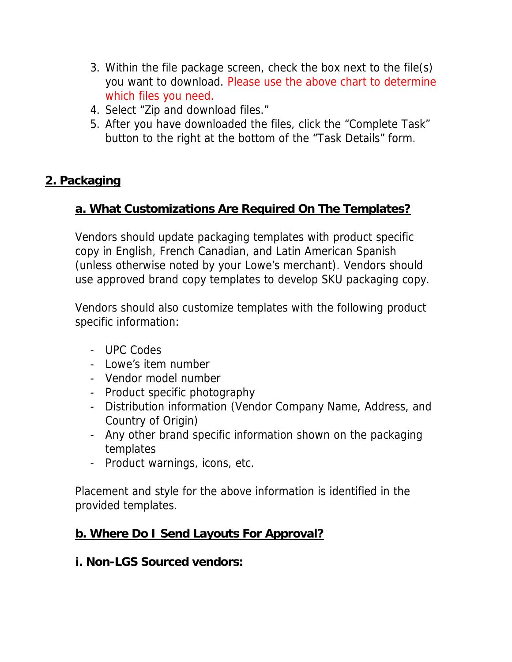- 3. Within the file package screen, check the box next to the file(s) you want to download. Please use the above chart to determine which files you need.
- 4. Select "Zip and download files."
- 5. After you have downloaded the files, click the "Complete Task" button to the right at the bottom of the "Task Details" form.

### **2. Packaging**

### **a. What Customizations Are Required On The Templates?**

Vendors should update packaging templates with product specific copy in English, French Canadian, and Latin American Spanish (unless otherwise noted by your Lowe's merchant). Vendors should use approved brand copy templates to develop SKU packaging copy.

Vendors should also customize templates with the following product specific information:

- UPC Codes
- Lowe's item number
- Vendor model number
- Product specific photography
- Distribution information (Vendor Company Name, Address, and Country of Origin)
- Any other brand specific information shown on the packaging templates
- Product warnings, icons, etc.

Placement and style for the above information is identified in the provided templates.

## **b. Where Do I Send Layouts For Approval?**

#### **i. Non-LGS Sourced vendors:**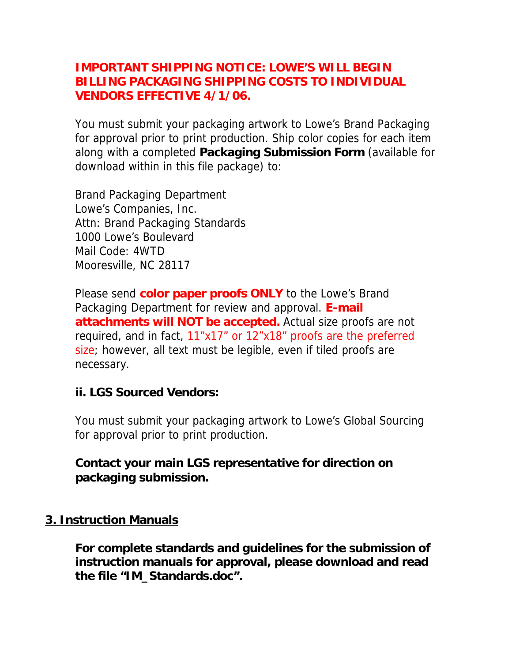#### **IMPORTANT SHIPPING NOTICE: LOWE'S WILL BEGIN BILLING PACKAGING SHIPPING COSTS TO INDIVIDUAL VENDORS EFFECTIVE 4/1/06.**

You must submit your packaging artwork to Lowe's Brand Packaging for approval prior to print production. Ship color copies for each item along with a completed **Packaging Submission Form** (available for download within in this file package) to:

Brand Packaging Department Lowe's Companies, Inc. Attn: Brand Packaging Standards 1000 Lowe's Boulevard Mail Code: 4WTD Mooresville, NC 28117

Please send **color paper proofs ONLY** to the Lowe's Brand Packaging Department for review and approval. **E-mail attachments will NOT be accepted.** Actual size proofs are not required, and in fact, 11"x17" or 12"x18" proofs are the preferred size; however, all text must be legible, even if tiled proofs are necessary.

#### **ii. LGS Sourced Vendors:**

You must submit your packaging artwork to Lowe's Global Sourcing for approval prior to print production.

#### **Contact your main LGS representative for direction on packaging submission.**

#### **3. Instruction Manuals**

**For complete standards and guidelines for the submission of instruction manuals for approval, please download and read the file "IM\_Standards.doc".**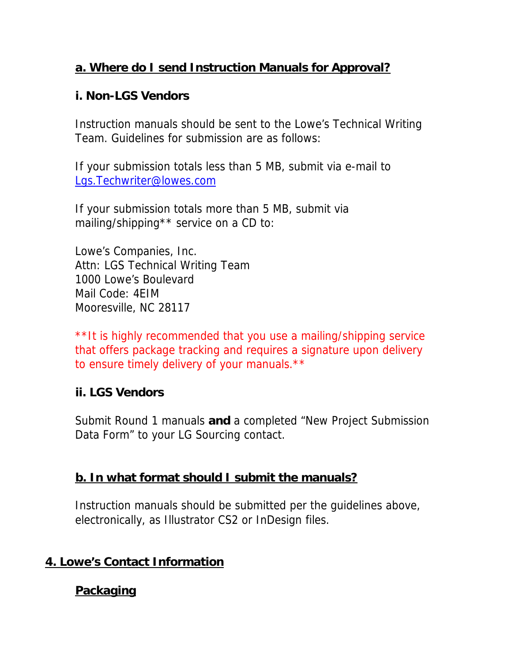## **a. Where do I send Instruction Manuals for Approval?**

### **i. Non-LGS Vendors**

Instruction manuals should be sent to the Lowe's Technical Writing Team. Guidelines for submission are as follows:

If your submission totals less than 5 MB, submit via e-mail to Lgs.Techwriter@lowes.com

If your submission totals more than 5 MB, submit via mailing/shipping\*\* service on a CD to:

Lowe's Companies, Inc. Attn: LGS Technical Writing Team 1000 Lowe's Boulevard Mail Code: 4EIM Mooresville, NC 28117

\*\*It is highly recommended that you use a mailing/shipping service that offers package tracking and requires a signature upon delivery to ensure timely delivery of your manuals.\*\*

### **ii. LGS Vendors**

Submit Round 1 manuals **and** a completed "New Project Submission Data Form" to your LG Sourcing contact.

#### **b. In what format should I submit the manuals?**

Instruction manuals should be submitted per the guidelines above, electronically, as Illustrator CS2 or InDesign files.

### **4. Lowe's Contact Information**

## **Packaging**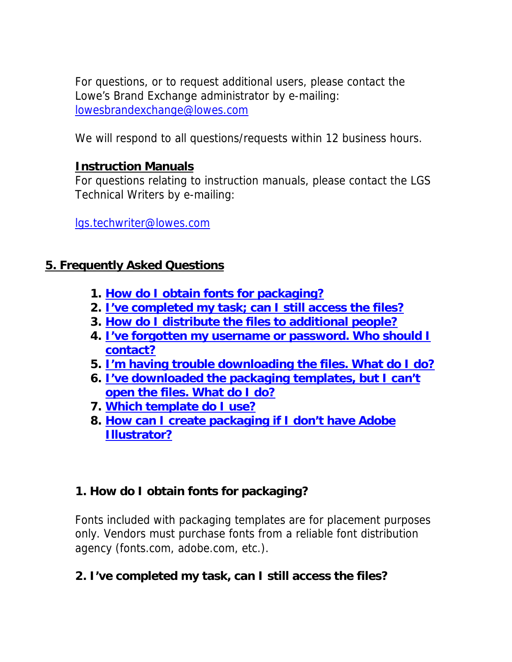For questions, or to request additional users, please contact the Lowe's Brand Exchange administrator by e-mailing: lowesbrandexchange@lowes.com

We will respond to all questions/requests within 12 business hours.

### **Instruction Manuals**

For questions relating to instruction manuals, please contact the LGS Technical Writers by e-mailing:

lgs.techwriter@lowes.com

## **5. Frequently Asked Questions**

- **1. How do I obtain fonts for packaging?**
- **2. I've completed my task; can I still access the files?**
- **3. How do I distribute the files to additional people?**
- **4. I've forgotten my username or password. Who should I contact?**
- **5. I'm having trouble downloading the files. What do I do?**
- **6. I've downloaded the packaging templates, but I can't open the files. What do I do?**
- **7. Which template do I use?**
- **8. How can I create packaging if I don't have Adobe Illustrator?**

### **1. How do I obtain fonts for packaging?**

Fonts included with packaging templates are for placement purposes only. Vendors must purchase fonts from a reliable font distribution agency (fonts.com, adobe.com, etc.).

## **2. I've completed my task, can I still access the files?**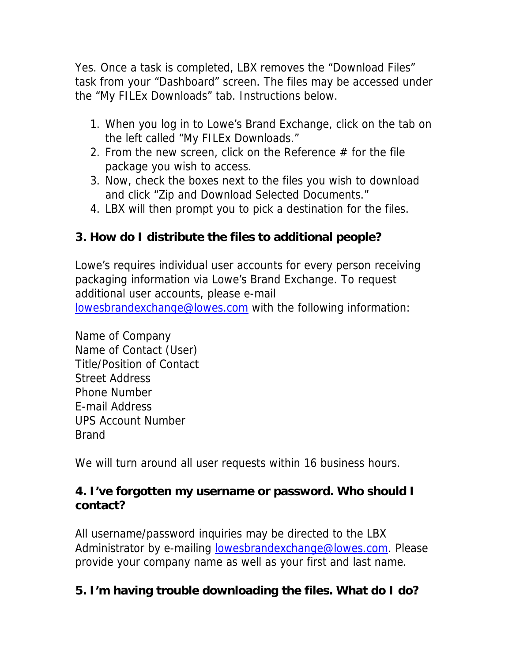Yes. Once a task is completed, LBX removes the "Download Files" task from your "Dashboard" screen. The files may be accessed under the "My FILEx Downloads" tab. Instructions below.

- 1. When you log in to Lowe's Brand Exchange, click on the tab on the left called "My FILEx Downloads."
- 2. From the new screen, click on the Reference  $#$  for the file package you wish to access.
- 3. Now, check the boxes next to the files you wish to download and click "Zip and Download Selected Documents."
- 4. LBX will then prompt you to pick a destination for the files.

## **3. How do I distribute the files to additional people?**

Lowe's requires individual user accounts for every person receiving packaging information via Lowe's Brand Exchange. To request additional user accounts, please e-mail

lowesbrandexchange@lowes.com with the following information:

Name of Company Name of Contact (User) Title/Position of Contact Street Address Phone Number E-mail Address UPS Account Number **Brand** 

We will turn around all user requests within 16 business hours.

### **4. I've forgotten my username or password. Who should I contact?**

All username/password inquiries may be directed to the LBX Administrator by e-mailing lowesbrandexchange@lowes.com. Please provide your company name as well as your first and last name.

# **5. I'm having trouble downloading the files. What do I do?**